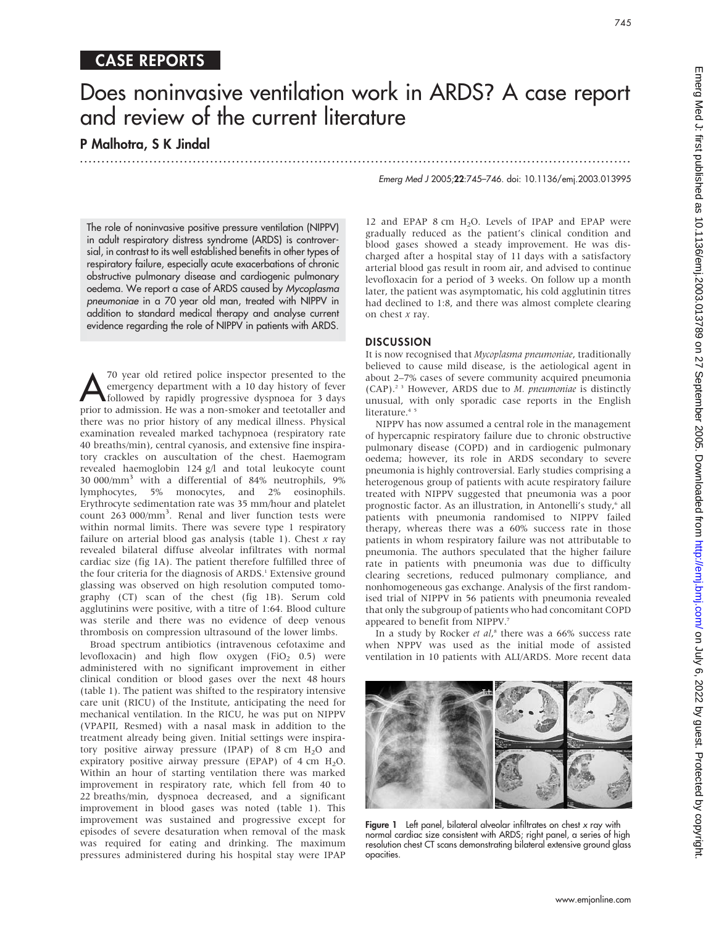### CASE REPORTS

# Does noninvasive ventilation work in ARDS? A case report and review of the current literature

#### P Malhotra, S K Jindal

...............................................................................................................................

The role of noninvasive positive pressure ventilation (NIPPV) in adult respiratory distress syndrome (ARDS) is controversial, in contrast to its well established benefits in other types of respiratory failure, especially acute exacerbations of chronic obstructive pulmonary disease and cardiogenic pulmonary oedema. We report a case of ARDS caused by Mycoplasma pneumoniae in a 70 year old man, treated with NIPPV in addition to standard medical therapy and analyse current evidence regarding the role of NIPPV in patients with ARDS.

To year old retired police inspector presented to the<br>emergency department with a 10 day history of fever<br>followed by rapidly progressive dyspnoea for 3 days emergency department with a 10 day history of fever followed by rapidly progressive dyspnoea for 3 days prior to admission. He was a non-smoker and teetotaller and there was no prior history of any medical illness. Physical examination revealed marked tachypnoea (respiratory rate 40 breaths/min), central cyanosis, and extensive fine inspiratory crackles on auscultation of the chest. Haemogram revealed haemoglobin 124 g/l and total leukocyte count 30 000/mm<sup>3</sup> with a differential of 84% neutrophils, 9% lymphocytes, 5% monocytes, and 2% eosinophils. Erythrocyte sedimentation rate was 35 mm/hour and platelet count 263 000/mm<sup>3</sup> . Renal and liver function tests were within normal limits. There was severe type 1 respiratory failure on arterial blood gas analysis (table 1). Chest  $x$  ray revealed bilateral diffuse alveolar infiltrates with normal cardiac size (fig 1A). The patient therefore fulfilled three of the four criteria for the diagnosis of ARDS.<sup>1</sup> Extensive ground glassing was observed on high resolution computed tomography (CT) scan of the chest (fig 1B). Serum cold agglutinins were positive, with a titre of 1:64. Blood culture was sterile and there was no evidence of deep venous thrombosis on compression ultrasound of the lower limbs.

Broad spectrum antibiotics (intravenous cefotaxime and levofloxacin) and high flow oxygen (FiO<sub>2</sub> 0.5) were administered with no significant improvement in either clinical condition or blood gases over the next 48 hours (table 1). The patient was shifted to the respiratory intensive care unit (RICU) of the Institute, anticipating the need for mechanical ventilation. In the RICU, he was put on NIPPV (VPAPII, Resmed) with a nasal mask in addition to the treatment already being given. Initial settings were inspiratory positive airway pressure (IPAP) of  $8 \text{ cm}$  H<sub>2</sub>O and expiratory positive airway pressure (EPAP) of  $4 \text{ cm}$  H<sub>2</sub>O. Within an hour of starting ventilation there was marked improvement in respiratory rate, which fell from 40 to 22 breaths/min, dyspnoea decreased, and a significant improvement in blood gases was noted (table 1). This improvement was sustained and progressive except for episodes of severe desaturation when removal of the mask was required for eating and drinking. The maximum pressures administered during his hospital stay were IPAP

Emerg Med J 2005;22:745–746. doi: 10.1136/emj.2003.013995

12 and EPAP 8 cm  $H_2O$ . Levels of IPAP and EPAP were gradually reduced as the patient's clinical condition and blood gases showed a steady improvement. He was discharged after a hospital stay of 11 days with a satisfactory arterial blood gas result in room air, and advised to continue levofloxacin for a period of 3 weeks. On follow up a month later, the patient was asymptomatic, his cold agglutinin titres had declined to 1:8, and there was almost complete clearing on chest x ray.

#### DISCUSSION

It is now recognised that Mycoplasma pneumoniae, traditionally believed to cause mild disease, is the aetiological agent in about 2–7% cases of severe community acquired pneumonia  $(CAP)^2$ <sup>3</sup> However, ARDS due to *M. pneumoniae* is distinctly unusual, with only sporadic case reports in the English literature.<sup>45</sup>

NIPPV has now assumed a central role in the management of hypercapnic respiratory failure due to chronic obstructive pulmonary disease (COPD) and in cardiogenic pulmonary oedema; however, its role in ARDS secondary to severe pneumonia is highly controversial. Early studies comprising a heterogenous group of patients with acute respiratory failure treated with NIPPV suggested that pneumonia was a poor prognostic factor. As an illustration, in Antonelli's study,<sup>6</sup> all patients with pneumonia randomised to NIPPV failed therapy, whereas there was a 60% success rate in those patients in whom respiratory failure was not attributable to pneumonia. The authors speculated that the higher failure rate in patients with pneumonia was due to difficulty clearing secretions, reduced pulmonary compliance, and nonhomogeneous gas exchange. Analysis of the first randomised trial of NIPPV in 56 patients with pneumonia revealed that only the subgroup of patients who had concomitant COPD appeared to benefit from NIPPV.7

In a study by Rocker et al,<sup>8</sup> there was a 66% success rate when NPPV was used as the initial mode of assisted ventilation in 10 patients with ALI/ARDS. More recent data



Figure  $1$  Left panel, bilateral alveolar infiltrates on chest x ray with normal cardiac size consistent with ARDS; right panel, a series of high resolution chest CT scans demonstrating bilateral extensive ground glass opacities.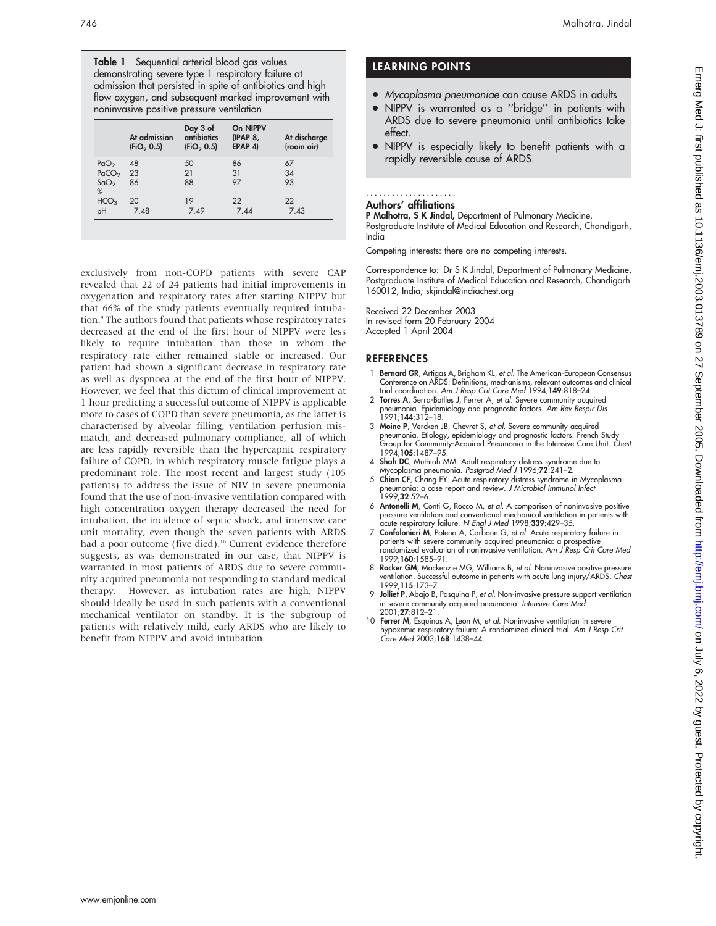**Table 1** Sequential arterial blood gas values demonstrating severe type 1 respiratory failure at admission that persisted in spite of antibiotics and high flow oxygen, and subsequent marked improvement with noninvasive positive pressure ventilation

|                       | At admission<br>(FIO, 0.5) | Day 3 of<br><b>antibiotics</b><br>(FIO <sub>2</sub> 0.5) | On NIPPV<br>(IPAP 8,<br>EPAP 4) | At discharge<br>(room air) |
|-----------------------|----------------------------|----------------------------------------------------------|---------------------------------|----------------------------|
| PaO <sub>2</sub>      | 48                         | 50                                                       | 86                              | 67                         |
| PaCO <sub>2</sub>     | 23                         | 21                                                       | 31                              | 34                         |
| SaO <sub>2</sub><br>% | 86                         | 88                                                       | 97                              | 93                         |
| HCO <sub>3</sub>      | 20                         | 19                                                       | 22                              | 22                         |
| pH                    | 7.48                       | 7.49                                                     | 744                             | 7.43                       |

exclusively from non-COPD patients with severe CAP revealed that 22 of 24 patients had initial improvements in oxygenation and respiratory rates after starting NIPPV but that 66% of the study patients eventually required intubation.<sup>9</sup> The authors found that patients whose respiratory rates decreased at the end of the first hour of NIPPV were less likely to require intubation than those in whom the respiratory rate either remained stable or increased. Our patient had shown a significant decrease in respiratory rate as well as dyspnoea at the end of the first hour of NIPPV. However, we feel that this dictum of clinical improvement at 1 hour predicting a successful outcome of NIPPV is applicable more to cases of COPD than severe pneumonia, as the latter is characterised by alveolar filling, ventilation perfusion mismatch, and decreased pulmonary compliance, all of which are less rapidly reversible than the hypercapnic respiratory failure of COPD, in which respiratory muscle fatigue plays a predominant role. The most recent and largest study (105 patients) to address the issue of NIV in severe pneumonia found that the use of non-invasive ventilation compared with high concentration oxygen therapy decreased the need for intubation, the incidence of septic shock, and intensive care unit mortality, even though the seven patients with ARDS had a poor outcome (five died).<sup>10</sup> Current evidence therefore suggests, as was demonstrated in our case, that NIPPV is warranted in most patients of ARDS due to severe community acquired pneumonia not responding to standard medical therapy. However, as intubation rates are high, NIPPV should ideally be used in such patients with a conventional mechanical ventilator on standby. It is the subgroup of patients with relatively mild, early ARDS who are likely to benefit from NIPPV and avoid intubation.

#### LEARNING POINTS

- Mycoplasma pneumoniae can cause ARDS in adults
- NIPPV is warranted as a "bridge" in patients with ARDS due to severe pneumonia until antibiotics take effect.
- NIPPV is especially likely to benefit patients with a rapidly reversible cause of ARDS.

#### Authors' affiliations .....................

P Malhotra, S K Jindal, Department of Pulmonary Medicine, Postgraduate Institute of Medical Education and Research, Chandigarh, India

Competing interests: there are no competing interests.

Correspondence to: Dr S K Jindal, Department of Pulmonary Medicine, Postgraduate Institute of Medical Education and Research, Chandigarh 160012, India; skjindal@indiachest.org

Received 22 December 2003 In revised form 20 February 2004 Accepted 1 April 2004

- 1 Bernard GR, Artigas A, Brigham KL, et al. The American-European Consensus Conference on ARDS: Definitions, mechanisms, relevant outcomes and clinical trial coordination. Am J Resp Crit Care Med 1994;149:818–24.
- 2 Torres A, Serra-Batlles J, Ferrer A, et al. Severe community acquired pneumonia. Epidemiology and prognostic factors. Am Rev Respir Dis 1991;144:312–18.
- 3 Moine P, Vercken JB, Chevret S, et al. Severe community acquired pneumonia. Etiology, epidemiology and prognostic factors. French Study Group for Community-Acquired Pneumonia in the Intensive Care Unit. Chest 1994;105:1487–95.
- 4 Shah DC, Muthiah MM. Adult respiratory distress syndrome due to Mycoplasma pneumonia. Postgrad Med J 1996;72:241–2.
- 5 **Chian CF**, Chang FY. Acute respiratory distress syndrome in Mycoplasma<br>pneumonia: a case report and review. *J Microbiol Immunol Infect*<br>1999;**32**:52–6.
- 6 Antonelli M, Conti G, Rocco M, et al. A comparison of noninvasive positive pressure ventilation and conventional mechanical ventilation in patients with acute respiratory failure. N Engl J Med 1998;339:429–35.
- 7 Confalonieri M, Potena A, Carbone G, et al. Acute respiratory failure in patients with severe community acquired pneumonia: a prospective randomized evaluation of noninvasive ventilation. Am J Resp Crit Care Med 1999;160:1585–91.
- 8 Rocker GM, Mackenzie MG, Williams B, et al. Noninvasive positive pressure ventilation. Successful outcome in patients with acute lung injury/ARDS. Chest 1999;115:173–7.
- 9 Jolliet P, Abajo B, Pasquina P, et al. Non-invasive pressure support ventilation in severe community acquired pneumonia. Intensive Care Med 2001;27:812–21.
- 10 Ferrer M, Esquinas A, Leon M, et al. Noninvasive ventilation in severe hypoxemic respiratory failure: A randomized clinical trial. Am J Resp Crit Care Med 2003;168:1438–44.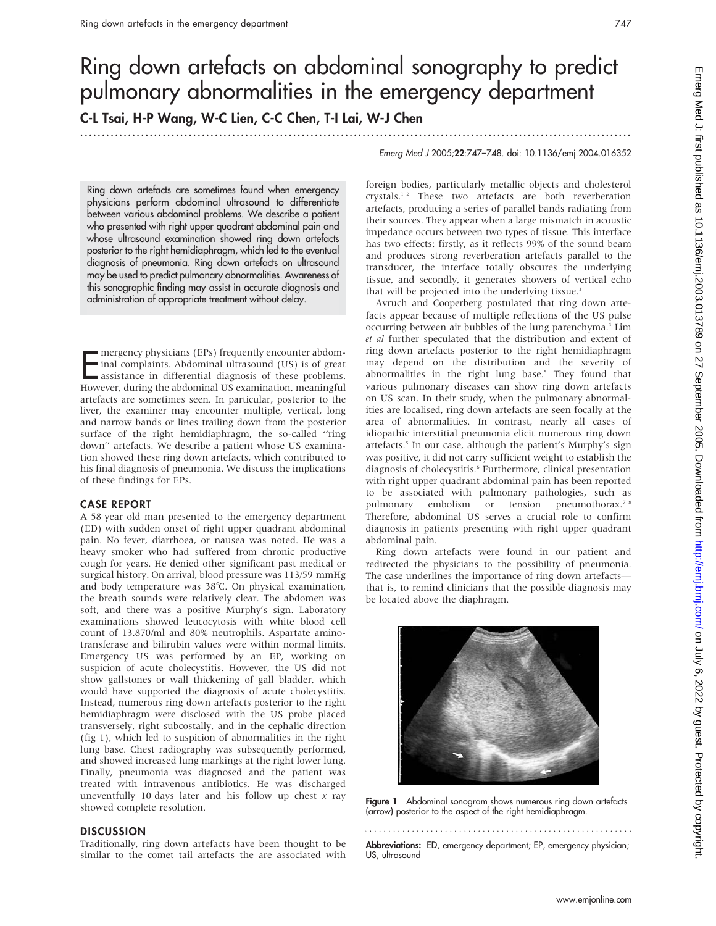## Ring down artefacts on abdominal sonography to predict pulmonary abnormalities in the emergency department C-L Tsai, H-P Wang, W-C Lien, C-C Chen, T-I Lai, W-J Chen ...............................................................................................................................

#### Emerg Med J 2005;22:747–748. doi: 10.1136/emj.2004.016352

Ring down artefacts are sometimes found when emergency physicians perform abdominal ultrasound to differentiate between various abdominal problems. We describe a patient who presented with right upper quadrant abdominal pain and whose ultrasound examination showed ring down artefacts posterior to the right hemidiaphragm, which led to the eventual diagnosis of pneumonia. Ring down artefacts on ultrasound may be used to predict pulmonary abnormalities. Awareness of this sonographic finding may assist in accurate diagnosis and administration of appropriate treatment without delay.

E mergency physicians (EPs) frequently encounter abdominal complaints. Abdominal ultrasound (US) is of great<br>assistance in differential diagnosis of these problems.<br>However, during the abdominal US examination, meaningful mergency physicians (EPs) frequently encounter abdominal complaints. Abdominal ultrasound (US) is of great assistance in differential diagnosis of these problems. artefacts are sometimes seen. In particular, posterior to the liver, the examiner may encounter multiple, vertical, long and narrow bands or lines trailing down from the posterior surface of the right hemidiaphragm, the so-called "ring down'' artefacts. We describe a patient whose US examination showed these ring down artefacts, which contributed to his final diagnosis of pneumonia. We discuss the implications of these findings for EPs.

#### CASE REPORT

A 58 year old man presented to the emergency department (ED) with sudden onset of right upper quadrant abdominal pain. No fever, diarrhoea, or nausea was noted. He was a heavy smoker who had suffered from chronic productive cough for years. He denied other significant past medical or surgical history. On arrival, blood pressure was 113/59 mmHg and body temperature was 38˚C. On physical examination, the breath sounds were relatively clear. The abdomen was soft, and there was a positive Murphy's sign. Laboratory examinations showed leucocytosis with white blood cell count of 13.870/ml and 80% neutrophils. Aspartate aminotransferase and bilirubin values were within normal limits. Emergency US was performed by an EP, working on suspicion of acute cholecystitis. However, the US did not show gallstones or wall thickening of gall bladder, which would have supported the diagnosis of acute cholecystitis. Instead, numerous ring down artefacts posterior to the right hemidiaphragm were disclosed with the US probe placed transversely, right subcostally, and in the cephalic direction (fig 1), which led to suspicion of abnormalities in the right lung base. Chest radiography was subsequently performed, and showed increased lung markings at the right lower lung. Finally, pneumonia was diagnosed and the patient was treated with intravenous antibiotics. He was discharged uneventfully 10 days later and his follow up chest  $x$  ray showed complete resolution.

#### **DISCUSSION**

Traditionally, ring down artefacts have been thought to be similar to the comet tail artefacts the are associated with foreign bodies, particularly metallic objects and cholesterol crystals.1 2 These two artefacts are both reverberation artefacts, producing a series of parallel bands radiating from their sources. They appear when a large mismatch in acoustic impedance occurs between two types of tissue. This interface has two effects: firstly, as it reflects 99% of the sound beam and produces strong reverberation artefacts parallel to the transducer, the interface totally obscures the underlying tissue, and secondly, it generates showers of vertical echo that will be projected into the underlying tissue.<sup>3</sup>

Avruch and Cooperberg postulated that ring down artefacts appear because of multiple reflections of the US pulse occurring between air bubbles of the lung parenchyma.<sup>4</sup> Lim et al further speculated that the distribution and extent of ring down artefacts posterior to the right hemidiaphragm may depend on the distribution and the severity of abnormalities in the right lung base.<sup>5</sup> They found that various pulmonary diseases can show ring down artefacts on US scan. In their study, when the pulmonary abnormalities are localised, ring down artefacts are seen focally at the area of abnormalities. In contrast, nearly all cases of idiopathic interstitial pneumonia elicit numerous ring down artefacts.<sup>5</sup> In our case, although the patient's Murphy's sign was positive, it did not carry sufficient weight to establish the diagnosis of cholecystitis.<sup>6</sup> Furthermore, clinical presentation with right upper quadrant abdominal pain has been reported to be associated with pulmonary pathologies, such as pulmonary embolism or tension pneumothorax.<sup>7 8</sup> Therefore, abdominal US serves a crucial role to confirm diagnosis in patients presenting with right upper quadrant abdominal pain.

Ring down artefacts were found in our patient and redirected the physicians to the possibility of pneumonia. The case underlines the importance of ring down artefacts that is, to remind clinicians that the possible diagnosis may be located above the diaphragm.



(arrow) posterior to the aspect of the right hemidiaphragm.

Abbreviations: ED, emergency department; EP, emergency physician; US, ultrasound

www.emjonline.com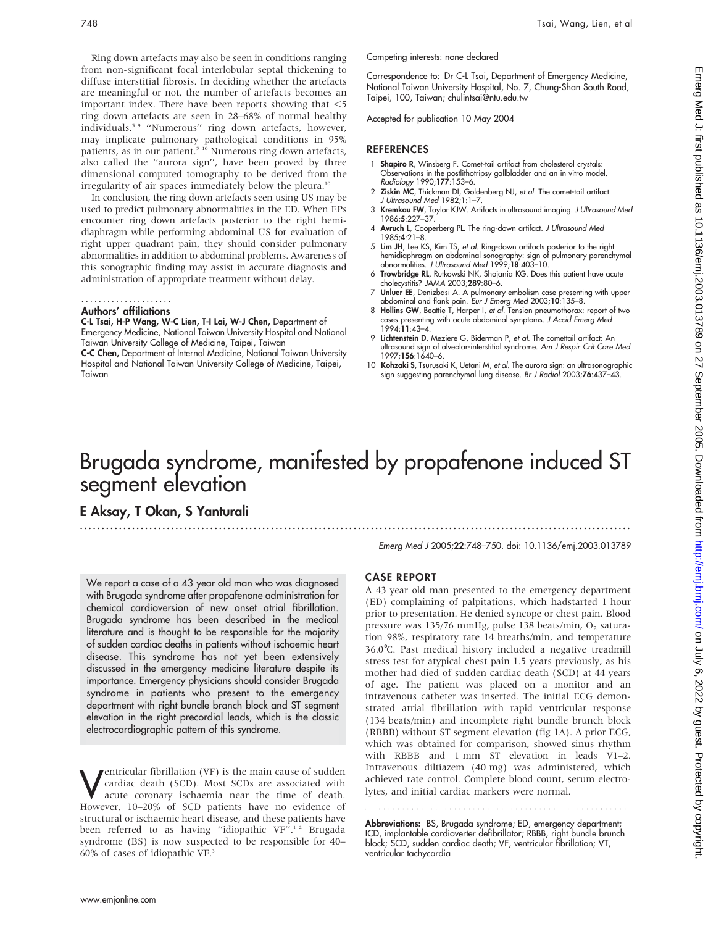Ring down artefacts may also be seen in conditions ranging from non-significant focal interlobular septal thickening to diffuse interstitial fibrosis. In deciding whether the artefacts are meaningful or not, the number of artefacts becomes an important index. There have been reports showing that  $\le$ 5 ring down artefacts are seen in 28–68% of normal healthy individuals.<sup>5</sup> 9 "Numerous" ring down artefacts, however, may implicate pulmonary pathological conditions in 95% patients, as in our patient.<sup>5 10</sup> Numerous ring down artefacts, also called the ''aurora sign'', have been proved by three dimensional computed tomography to be derived from the irregularity of air spaces immediately below the pleura.<sup>10</sup>

In conclusion, the ring down artefacts seen using US may be used to predict pulmonary abnormalities in the ED. When EPs encounter ring down artefacts posterior to the right hemidiaphragm while performing abdominal US for evaluation of right upper quadrant pain, they should consider pulmonary abnormalities in addition to abdominal problems. Awareness of this sonographic finding may assist in accurate diagnosis and administration of appropriate treatment without delay.

#### .....................

#### Authors' affiliations

C-L Tsai, H-P Wang, W-C Lien, T-I Lai, W-J Chen, Department of Emergency Medicine, National Taiwan University Hospital and National Taiwan University College of Medicine, Taipei, Taiwan

C-C Chen, Department of Internal Medicine, National Taiwan University Hospital and National Taiwan University College of Medicine, Taipei, Taiwan

#### Competing interests: none declared

Correspondence to: Dr C-L Tsai, Department of Emergency Medicine, National Taiwan University Hospital, No. 7, Chung-Shan South Road, Taipei, 100, Taiwan; chulintsai@ntu.edu.tw

Accepted for publication 10 May 2004

#### REFERENCES

- 1 Shapiro R, Winsberg F. Comet-tail artifact from cholesterol crystals: Observations in the postlithotripsy gallbladder and an in vitro model. Radiology 1990;177:153–6.
- 2 Ziskin MC, Thickman DI, Goldenberg NJ, et al. The comet-tail artifact. J Ultrasound Med 1982;1:1-7.
- 3 Kremkau FW, Taylor KJW. Artifacts in ultrasound imaging. J Ultrasound Med 1986;5:227–37.
- 4 Avruch L, Cooperberg PL. The ring-down artifact. J Ultrasound Med 1985;4:21–8.
- 5 Lim JH, Lee KS, Kim TS, et al. Ring-down artifacts posterior to the right hemidiaphragm on abdominal sonography: sign of pulmonary parenchymal abnormalities. J Ultrasound Med 1999;18:403–10.
- 6 Trowbridge RL, Rutkowski NK, Shojania KG. Does this patient have acute cholecystitis? JAMA 2003;289:80–6.
- 7 Unluer EE, Denizbasi A. A pulmonary embolism case presenting with upper abdominal and flank pain. Eur J Emerg Med 2003;10:135–8.
- 8 Hollins GW, Beattie T, Harper I, et al. Tension pneumothorax: report of two cases presenting with acute abdominal symptoms. J Accid Emerg Med 1994;11:43–4.
- 9 Lichtenstein D, Meziere G, Biderman P, et al. The comettail artifact: An ultrasound sign of alveolar-interstitial syndrome. A*m J Respir Crit Care Med*<br>1997;**156**:1640–6.
- 10 Kohzaki S, Tsurusaki K, Uetani M, et al. The aurora sign: an ultrasonographic sign suggesting parenchymal lung disease. Br J Radiol 2003;76:437–43.

## Brugada syndrome, manifested by propafenone induced ST segment elevation

#### E Aksay, T Okan, S Yanturali

We report a case of a 43 year old man who was diagnosed with Brugada syndrome after propafenone administration for chemical cardioversion of new onset atrial fibrillation. Brugada syndrome has been described in the medical literature and is thought to be responsible for the majority of sudden cardiac deaths in patients without ischaemic heart disease. This syndrome has not yet been extensively discussed in the emergency medicine literature despite its importance. Emergency physicians should consider Brugada syndrome in patients who present to the emergency department with right bundle branch block and ST segment elevation in the right precordial leads, which is the classic electrocardiographic pattern of this syndrome.

**Ventricular fibrillation (VF) is the main cause of sudden**<br>cardiac death (SCD). Most SCDs are associated with<br>acute coronary ischaemia near the time of death. cardiac death (SCD). Most SCDs are associated with acute coronary ischaemia near the time of death. However, 10–20% of SCD patients have no evidence of structural or ischaemic heart disease, and these patients have been referred to as having "idiopathic VF".<sup>12</sup> Brugada syndrome (BS) is now suspected to be responsible for 40– 60% of cases of idiopathic VF.3

Emerg Med J 2005;22:748–750. doi: 10.1136/emj.2003.013789

...............................................................................................................................

#### CASE REPORT

A 43 year old man presented to the emergency department (ED) complaining of palpitations, which hadstarted 1 hour prior to presentation. He denied syncope or chest pain. Blood pressure was 135/76 mmHg, pulse 138 beats/min,  $O<sub>2</sub>$  saturation 98%, respiratory rate 14 breaths/min, and temperature 36.0˚C. Past medical history included a negative treadmill stress test for atypical chest pain 1.5 years previously, as his mother had died of sudden cardiac death (SCD) at 44 years of age. The patient was placed on a monitor and an intravenous catheter was inserted. The initial ECG demonstrated atrial fibrillation with rapid ventricular response (134 beats/min) and incomplete right bundle brunch block (RBBB) without ST segment elevation (fig 1A). A prior ECG, which was obtained for comparison, showed sinus rhythm with RBBB and 1 mm ST elevation in leads V1–2. Intravenous diltiazem (40 mg) was administered, which achieved rate control. Complete blood count, serum electrolytes, and initial cardiac markers were normal.

Abbreviations: BS, Brugada syndrome; ED, emergency department; ICD, implantable cardioverter defibrillator; RBBB, right bundle brunch block; SCD, sudden cardiac death; VF, ventricular fibrillation; VT, ventricular tachycardia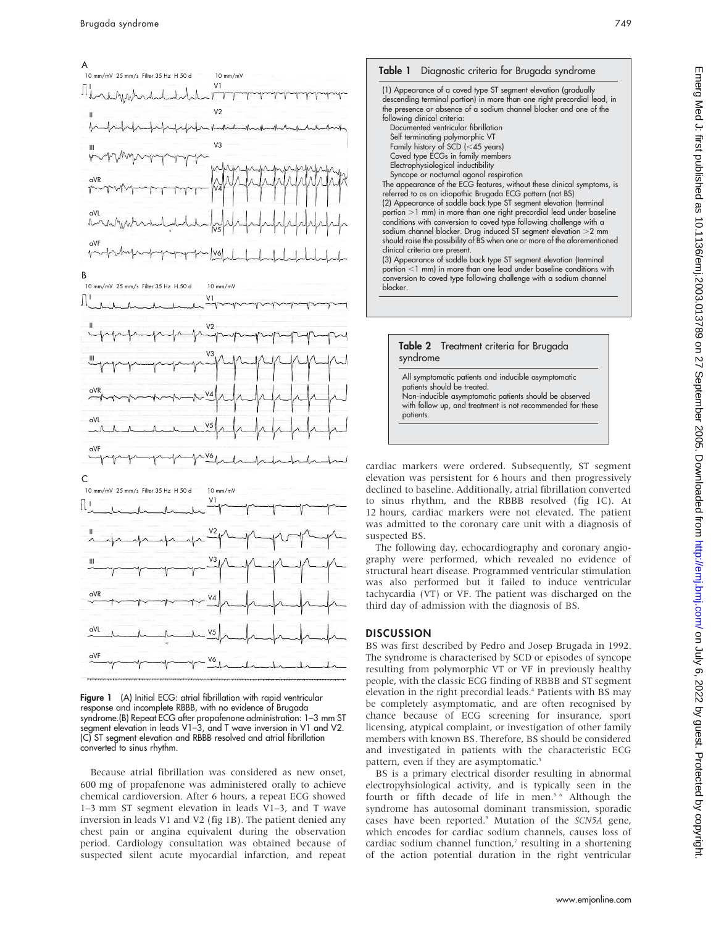

Figure 1 (A) Initial ECG: atrial fibrillation with rapid ventricular response and incomplete RBBB, with no evidence of Brugada syndrome.(B) Repeat ECG after propafenone administration: 1–3 mm ST segment elevation in leads V1–3, and T wave inversion in V1 and V2. (C) ST segment elevation and RBBB resolved and atrial fibrillation converted to sinus rhythm.

Because atrial fibrillation was considered as new onset, 600 mg of propafenone was administered orally to achieve chemical cardioversion. After 6 hours, a repeat ECG showed 1–3 mm ST segment elevation in leads V1–3, and T wave inversion in leads V1 and V2 (fig 1B). The patient denied any chest pain or angina equivalent during the observation period. Cardiology consultation was obtained because of suspected silent acute myocardial infarction, and repeat



All symptomatic patients and inducible asymptomatic patients should be treated. Non-inducible asymptomatic patients should be observed with follow up, and treatment is not recommended for these patients.

cardiac markers were ordered. Subsequently, ST segment elevation was persistent for 6 hours and then progressively declined to baseline. Additionally, atrial fibrillation converted to sinus rhythm, and the RBBB resolved (fig 1C). At 12 hours, cardiac markers were not elevated. The patient was admitted to the coronary care unit with a diagnosis of suspected BS.

The following day, echocardiography and coronary angiography were performed, which revealed no evidence of structural heart disease. Programmed ventricular stimulation was also performed but it failed to induce ventricular tachycardia (VT) or VF. The patient was discharged on the third day of admission with the diagnosis of BS.

#### **DISCUSSION**

BS was first described by Pedro and Josep Brugada in 1992. The syndrome is characterised by SCD or episodes of syncope resulting from polymorphic VT or VF in previously healthy people, with the classic ECG finding of RBBB and ST segment elevation in the right precordial leads.<sup>4</sup> Patients with BS may be completely asymptomatic, and are often recognised by chance because of ECG screening for insurance, sport licensing, atypical complaint, or investigation of other family members with known BS. Therefore, BS should be considered and investigated in patients with the characteristic ECG pattern, even if they are asymptomatic.<sup>5</sup>

BS is a primary electrical disorder resulting in abnormal electropyhsiological activity, and is typically seen in the fourth or fifth decade of life in men.<sup>5 6</sup> Although the syndrome has autosomal dominant transmission, sporadic cases have been reported.<sup>3</sup> Mutation of the SCN5A gene, which encodes for cardiac sodium channels, causes loss of cardiac sodium channel function,<sup>7</sup> resulting in a shortening of the action potential duration in the right ventricular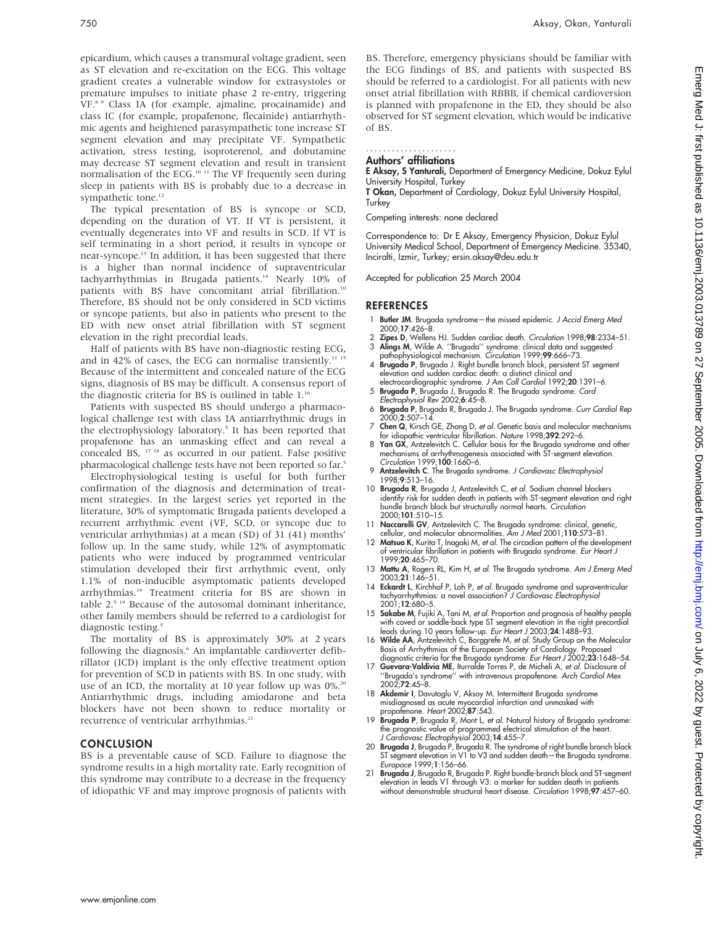epicardium, which causes a transmural voltage gradient, seen as ST elevation and re-excitation on the ECG. This voltage gradient creates a vulnerable window for extrasystoles or premature impulses to initiate phase 2 re-entry, triggering VF.8 9 Class IA (for example, ajmaline, procainamide) and class IC (for example, propafenone, flecainide) antiarrhythmic agents and heightened parasympathetic tone increase ST segment elevation and may precipitate VF. Sympathetic activation, stress testing, isoproterenol, and dobutamine may decrease ST segment elevation and result in transient normalisation of the ECG.10 11 The VF frequently seen during sleep in patients with BS is probably due to a decrease in sympathetic tone.<sup>12</sup>

The typical presentation of BS is syncope or SCD, depending on the duration of VT. If VT is persistent, it eventually degenerates into VF and results in SCD. If VT is self terminating in a short period, it results in syncope or near-syncope.<sup>13</sup> In addition, it has been suggested that there is a higher than normal incidence of supraventricular tachyarrhythmias in Brugada patients.<sup>14</sup> Nearly 10% of patients with BS have concomitant atrial fibrillation.<sup>10</sup> Therefore, BS should not be only considered in SCD victims or syncope patients, but also in patients who present to the ED with new onset atrial fibrillation with ST segment elevation in the right precordial leads.

Half of patients with BS have non-diagnostic resting ECG, and in 42% of cases, the ECG can normalise transiently.<sup>11 15</sup> Because of the intermittent and concealed nature of the ECG signs, diagnosis of BS may be difficult. A consensus report of the diagnostic criteria for BS is outlined in table  $1.^{16}$ 

Patients with suspected BS should undergo a pharmacological challenge test with class IA antiarrhythmic drugs in the electrophysiology laboratory.<sup>5</sup> It has been reported that propafenone has an unmasking effect and can reveal a concealed BS, 17 18 as occurred in our patient. False positive pharmacological challenge tests have not been reported so far.5

Electrophysiological testing is useful for both further confirmation of the diagnosis and determination of treatment strategies. In the largest series yet reported in the literature, 30% of symptomatic Brugada patients developed a recurrent arrhythmic event (VF, SCD, or syncope due to ventricular arrhythmias) at a mean (SD) of 31 (41) months' follow up. In the same study, while 12% of asymptomatic patients who were induced by programmed ventricular stimulation developed their first arrhythmic event, only 1.1% of non-inducible asymptomatic patients developed arrhythmias.19 Treatment criteria for BS are shown in table 2.5 19 Because of the autosomal dominant inheritance, other family members should be referred to a cardiologist for diagnostic testing.<sup>5</sup>

The mortality of BS is approximately 30% at 2 years following the diagnosis.<sup>6</sup> An implantable cardioverter defibrillator (ICD) implant is the only effective treatment option for prevention of SCD in patients with BS. In one study, with use of an ICD, the mortality at 10 year follow up was  $0\%$ .<sup>20</sup> Antiarrhythmic drugs, including amiodarone and beta blockers have not been shown to reduce mortality or recurrence of ventricular arrhythmias.<sup>21</sup>

#### **CONCLUSION**

BS is a preventable cause of SCD. Failure to diagnose the syndrome results in a high mortality rate. Early recognition of this syndrome may contribute to a decrease in the frequency of idiopathic VF and may improve prognosis of patients with

BS. Therefore, emergency physicians should be familiar with the ECG findings of BS, and patients with suspected BS should be referred to a cardiologist. For all patients with new onset atrial fibrillation with RBBB, if chemical cardioversion is planned with propafenone in the ED, they should be also observed for ST segment elevation, which would be indicative of BS.

#### Authors' affiliations .....................

E Aksay, S Yanturali, Department of Emergency Medicine, Dokuz Eylul University Hospital, Turkey

T Okan, Department of Cardiology, Dokuz Eylul University Hospital, Turkey

Competing interests: none declared

Correspondence to: Dr E Aksay, Emergency Physician, Dokuz Eylul University Medical School, Department of Emergency Medicine. 35340, Inciralti, Izmir, Turkey; ersin.aksay@deu.edu.tr

Accepted for publication 25 March 2004

- 1 Butler JM. Brugada syndrome-the missed epidemic. J Accid Emerg Med 2000;17:426–8.
- 2 Zipes D, Wellens HJ. Sudden cardiac death. Circulation 1998:98:2334–51.
- 3 Alings M, Wilde A. ''Brugada'' syndrome: clinical data and suggested pathophysiological mechanism. Circulation 1999;99:666–73.
- 4 Brugada P, Brugada J. Right bundle branch block, persistent ST segment elevation and sudden cardiac death: a distinct clinical and electrocardiographic syndrome. J Am Coll Cardiol 1992;20:1391–6.
- 5 Brugada P, Brugada J, Brugada R. The Brugada syndrome. Card Electrophysiol Rev 2002;6:45–8.
- 6 Brugada P, Brugada R, Brugada J. The Brugada syndrome. Curr Cardiol Rep 2000;2:507–14.
- 7 Chen Q, Kirsch GE, Zhang D, et al. Genetic basis and molecular mechanisms for idiopathic ventricular fibrillation. Nature 1998;392:292–6.
- 8 Yan GX, Antzelevitch C. Cellular basis for the Brugada syndrome and other mechanisms of arrhythmogenesis associated with ST-segment elevation. Circulation 1999;100:1660–6.
- 9 Antzelevitch C. The Brugada syndrome. J Cardiovasc Electrophysiol 1998;9:513–16.
- 10 Brugada R, Brugada J, Antzelevitch C, et al. Sodium channel blockers identify risk for sudden death in patients with ST-segment elevation and right bundle branch block but structurally normal hearts. Circulation 2000;101:510–15.
- 11 Naccarelli GV, Antzelevitch C. The Brugada syndrome: clinical, genetic, cellular, and molecular abnormalities. Am J Med 2001;110:573–81.
- 12 Matsuo K, Kurita T, Inagaki M, et al. The circadian pattern of the development of ventricular fibrillation in patients with Brugada syndrome. Eur Heart J 1999;20:465–70.
- 13 Mattu A, Rogers RL, Kim H, *et al.* The Brugada syndrome. A*m J Emerg Med*<br>2003;**21**:146–51.
- 14 Eckardt L, Kirchhof P, Loh P, et al. Brugada syndrome and supraventricular tachyarrhythmias: a novel association? J Cardiovasc Electrophysiol 2001;12:680–5.
- 15 Sakabe M, Fujiki A, Tani M, et al. Proportion and prognosis of healthy people with coved or saddle-back type ST segment elevation in the right precordial
- leads during 10 years tollow-up. *Eur Heart J* 2003;**24**:1488–93.<br>16 Wi**lde AA**, Antzelevitch C, Borggrefe M, *et al.* Study Group on the Molecular Basis of Arrhythmias of the European Society of Cardiology. Proposed diagnostic criteria for the Brugada syndrome. Eur Heart J 2002;23:1648-54.
- Guevara-Valdivia ME, Iturralde Torres P, de Micheli A, et al. Disclosure of 'Brugada's syndrome'' with intravenous propafenone. Arch Cardiol Mex 2002;72:45–8.
- 18 Akdemir I, Davutoglu V, Aksoy M. Intermittent Brugada syndrome misdiagnosed as acute myocardial infarction and unmasked with propafenone. Heart 2002;87:543.
- 19 Brugada P, Brugada R, Mont L, et al. Natural history of Brugada syndrome: the prognostic value of programmed electrical stimulation of the heart. J Cardiovasc Electrophysiol 2003;14:455–7.
- 20 Brugada J, Brugada P, Brugada R. The syndrome of right bundle branch block ST segment elevation in V1 to V3 and sudden death—the Brugada syndrome. Europace 1999;1:156–66.
- 21 Brugada J, Brugada R, Brugada P. Right bundle-branch block and ST-segment elevation in leads V1 through V3: a marker for sudden death in patients without demonstrable structural heart disease. Circulation 1998;97:457-60.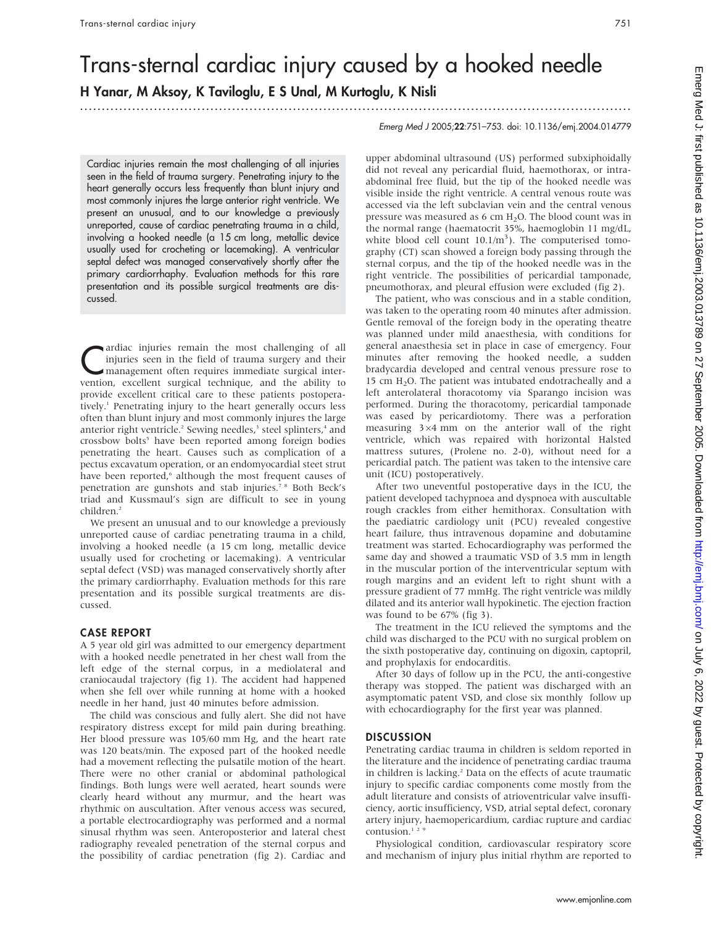# Trans-sternal cardiac injury caused by a hooked needle

...............................................................................................................................

H Yanar, M Aksoy, K Taviloglu, E S Unal, M Kurtoglu, K Nisli

Cardiac injuries remain the most challenging of all injuries seen in the field of trauma surgery. Penetrating injury to the heart generally occurs less frequently than blunt injury and most commonly injures the large anterior right ventricle. We present an unusual, and to our knowledge a previously unreported, cause of cardiac penetrating trauma in a child, involving a hooked needle (a 15 cm long, metallic device usually used for crocheting or lacemaking). A ventricular septal defect was managed conservatively shortly after the primary cardiorrhaphy. Evaluation methods for this rare presentation and its possible surgical treatments are discussed.

ardiac injuries remain the most challenging of all injuries seen in the field of trauma surgery and their management often requires immediate surgical interinjuries seen in the field of trauma surgery and their vention, excellent surgical technique, and the ability to provide excellent critical care to these patients postoperatively.<sup>1</sup> Penetrating injury to the heart generally occurs less often than blunt injury and most commonly injures the large anterior right ventricle.<sup>2</sup> Sewing needles,<sup>3</sup> steel splinters,<sup>4</sup> and crossbow bolts<sup>5</sup> have been reported among foreign bodies penetrating the heart. Causes such as complication of a pectus excavatum operation, or an endomyocardial steet strut have been reported,<sup>6</sup> although the most frequent causes of penetration are gunshots and stab injuries.<sup>78</sup> Both Beck's triad and Kussmaul's sign are difficult to see in young children.2

We present an unusual and to our knowledge a previously unreported cause of cardiac penetrating trauma in a child, involving a hooked needle (a 15 cm long, metallic device usually used for crocheting or lacemaking). A ventricular septal defect (VSD) was managed conservatively shortly after the primary cardiorrhaphy. Evaluation methods for this rare presentation and its possible surgical treatments are discussed.

#### CASE REPORT

A 5 year old girl was admitted to our emergency department with a hooked needle penetrated in her chest wall from the left edge of the sternal corpus, in a mediolateral and craniocaudal trajectory (fig 1). The accident had happened when she fell over while running at home with a hooked needle in her hand, just 40 minutes before admission.

The child was conscious and fully alert. She did not have respiratory distress except for mild pain during breathing. Her blood pressure was 105/60 mm Hg, and the heart rate was 120 beats/min. The exposed part of the hooked needle had a movement reflecting the pulsatile motion of the heart. There were no other cranial or abdominal pathological findings. Both lungs were well aerated, heart sounds were clearly heard without any murmur, and the heart was rhythmic on auscultation. After venous access was secured, a portable electrocardiography was performed and a normal sinusal rhythm was seen. Anteroposterior and lateral chest radiography revealed penetration of the sternal corpus and the possibility of cardiac penetration (fig 2). Cardiac and

Emerg Med J 2005;22:751–753. doi: 10.1136/emj.2004.014779

upper abdominal ultrasound (US) performed subxiphoidally did not reveal any pericardial fluid, haemothorax, or intraabdominal free fluid, but the tip of the hooked needle was visible inside the right ventricle. A central venous route was accessed via the left subclavian vein and the central venous pressure was measured as 6 cm H2O. The blood count was in the normal range (haematocrit 35%, haemoglobin 11 mg/dL, white blood cell count  $10.1/m<sup>3</sup>$ ). The computerised tomography (CT) scan showed a foreign body passing through the sternal corpus, and the tip of the hooked needle was in the right ventricle. The possibilities of pericardial tamponade, pneumothorax, and pleural effusion were excluded (fig 2).

The patient, who was conscious and in a stable condition, was taken to the operating room 40 minutes after admission. Gentle removal of the foreign body in the operating theatre was planned under mild anaesthesia, with conditions for general anaesthesia set in place in case of emergency. Four minutes after removing the hooked needle, a sudden bradycardia developed and central venous pressure rose to 15 cm H2O. The patient was intubated endotracheally and a left anterolateral thoracotomy via Sparango incision was performed. During the thoracotomy, pericardial tamponade was eased by pericardiotomy. There was a perforation measuring  $3\times4$  mm on the anterior wall of the right ventricle, which was repaired with horizontal Halsted mattress sutures, (Prolene no. 2-0), without need for a pericardial patch. The patient was taken to the intensive care unit (ICU) postoperatively.

After two uneventful postoperative days in the ICU, the patient developed tachypnoea and dyspnoea with auscultable rough crackles from either hemithorax. Consultation with the paediatric cardiology unit (PCU) revealed congestive heart failure, thus intravenous dopamine and dobutamine treatment was started. Echocardiography was performed the same day and showed a traumatic VSD of 3.5 mm in length in the muscular portion of the interventricular septum with rough margins and an evident left to right shunt with a pressure gradient of 77 mmHg. The right ventricle was mildly dilated and its anterior wall hypokinetic. The ejection fraction was found to be 67% (fig 3).

The treatment in the ICU relieved the symptoms and the child was discharged to the PCU with no surgical problem on the sixth postoperative day, continuing on digoxin, captopril, and prophylaxis for endocarditis.

After 30 days of follow up in the PCU, the anti-congestive therapy was stopped. The patient was discharged with an asymptomatic patent VSD, and close six monthly follow up with echocardiography for the first year was planned.

#### **DISCUSSION**

Penetrating cardiac trauma in children is seldom reported in the literature and the incidence of penetrating cardiac trauma in children is lacking.<sup>2</sup> Data on the effects of acute traumatic injury to specific cardiac components come mostly from the adult literature and consists of atrioventricular valve insufficiency, aortic insufficiency, VSD, atrial septal defect, coronary artery injury, haemopericardium, cardiac rupture and cardiac contusion.<sup>129</sup>

Physiological condition, cardiovascular respiratory score and mechanism of injury plus initial rhythm are reported to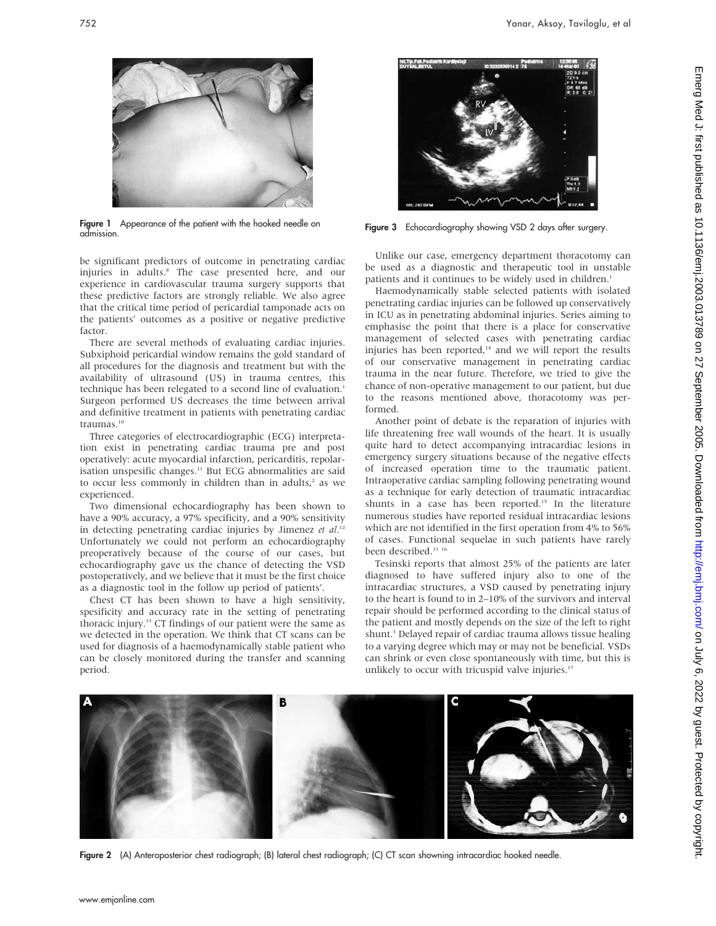

Figure 1 Appearance of the patient with the hooked needle on Figure 3 Echocardiography showing VSD 2 days after surgery. admission.

be significant predictors of outcome in penetrating cardiac injuries in adults.<sup>8</sup> The case presented here, and our experience in cardiovascular trauma surgery supports that these predictive factors are strongly reliable. We also agree that the critical time period of pericardial tamponade acts on the patients' outcomes as a positive or negative predictive factor.

There are several methods of evaluating cardiac injuries. Subxiphoid pericardial window remains the gold standard of all procedures for the diagnosis and treatment but with the availability of ultrasound (US) in trauma centres, this technique has been relegated to a second line of evaluation.<sup>1</sup> Surgeon performed US decreases the time between arrival and definitive treatment in patients with penetrating cardiac traumas.<sup>10</sup>

Three categories of electrocardiographic (ECG) interpretation exist in penetrating cardiac trauma pre and post operatively: acute myocardial infarction, pericarditis, repolarisation unspesific changes.<sup>11</sup> But ECG abnormalities are said to occur less commonly in children than in adults, $2$  as we experienced.

Two dimensional echocardiography has been shown to have a 90% accuracy, a 97% specificity, and a 90% sensitivity in detecting penetrating cardiac injuries by Jimenez et al.<sup>12</sup> Unfortunately we could not perform an echocardiography preoperatively because of the course of our cases, but echocardiography gave us the chance of detecting the VSD postoperatively, and we believe that it must be the first choice as a diagnostic tool in the follow up period of patients'.

Chest CT has been shown to have a high sensitivity, spesificity and accuracy rate in the setting of penetrating thoracic injury.13 CT findings of our patient were the same as we detected in the operation. We think that CT scans can be used for diagnosis of a haemodynamically stable patient who can be closely monitored during the transfer and scanning period.



Unlike our case, emergency department thoracotomy can be used as a diagnostic and therapeutic tool in unstable patients and it continues to be widely used in children.<sup>1</sup>

Haemodynamically stable selected patients with isolated penetrating cardiac injuries can be followed up conservatively in ICU as in penetrating abdominal injuries. Series aiming to emphasise the point that there is a place for conservative management of selected cases with penetrating cardiac injuries has been reported,<sup>14</sup> and we will report the results of our conservative management in penetrating cardiac trauma in the near future. Therefore, we tried to give the chance of non-operative management to our patient, but due to the reasons mentioned above, thoracotomy was performed.

Another point of debate is the reparation of injuries with life threatening free wall wounds of the heart. It is usually quite hard to detect accompanying intracardiac lesions in emergency surgery situations because of the negative effects of increased operation time to the traumatic patient. Intraoperative cardiac sampling following penetrating wound as a technique for early detection of traumatic intracardiac shunts in a case has been reported.<sup>15</sup> In the literature numerous studies have reported residual intracardiac lesions which are not identified in the first operation from 4% to 56% of cases. Functional sequelae in such patients have rarely been described.<sup>11 16</sup>

Tesinski reports that almost 25% of the patients are later diagnosed to have suffered injury also to one of the intracardiac structures, a VSD caused by penetrating injury to the heart is found to in 2–10% of the survivors and interval repair should be performed according to the clinical status of the patient and mostly depends on the size of the left to right shunt.<sup>3</sup> Delayed repair of cardiac trauma allows tissue healing to a varying degree which may or may not be beneficial. VSDs can shrink or even close spontaneously with time, but this is unlikely to occur with tricuspid valve injuries.<sup>17</sup>



Figure 2 (A) Anteroposterior chest radiograph; (B) lateral chest radiograph; (C) CT scan showning intracardiac hooked needle.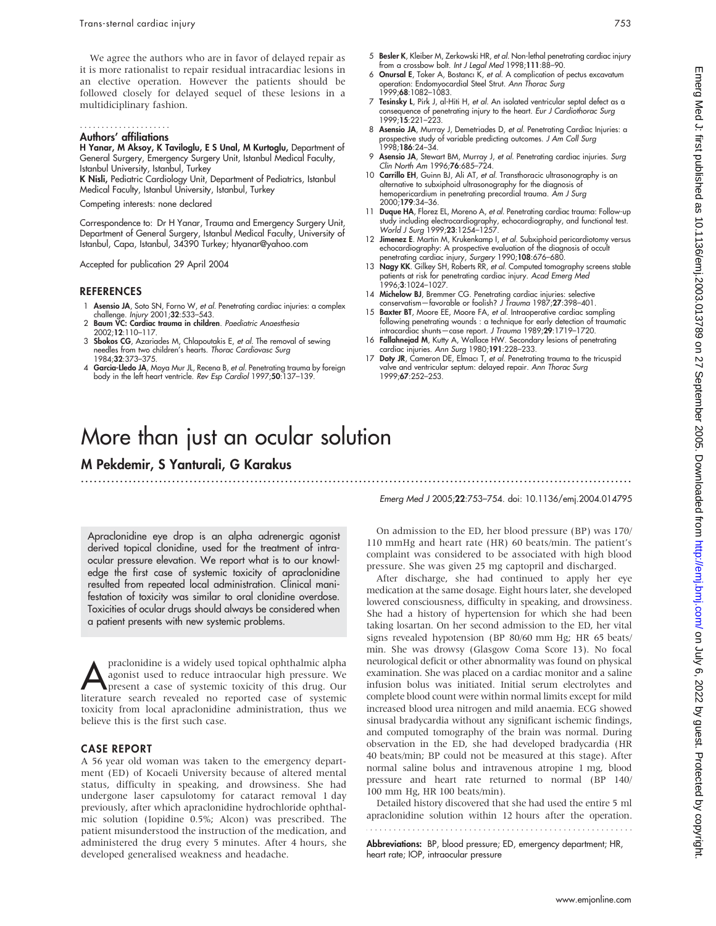We agree the authors who are in favor of delayed repair as it is more rationalist to repair residual intracardiac lesions in an elective operation. However the patients should be followed closely for delayed sequel of these lesions in a multidiciplinary fashion.

#### Authors' affiliations .....................

H Yanar, M Aksoy, K Taviloglu, E S Unal, M Kurtoglu, Department of General Surgery, Emergency Surgery Unit, Istanbul Medical Faculty, Istanbul University, Istanbul, Turkey

K Nisli, Pediatric Cardiology Unit, Department of Pediatrics, Istanbul Medical Faculty, Istanbul University, Istanbul, Turkey

#### Competing interests: none declared

Correspondence to: Dr H Yanar, Trauma and Emergency Surgery Unit, Department of General Surgery, Istanbul Medical Faculty, University of Istanbul, Capa, Istanbul, 34390 Turkey; htyanar@yahoo.com

Accepted for publication 29 April 2004

#### REFERENCES

- 1 Asensio JA, Soto SN, Forno W, et al. Penetrating cardiac injuries: a complex challenge. *Injury* 2001;3**2**:533–543.<br>2 **Baum VC: Cardiac trauma in children**. *Paediatric Anaesthesia*
- 2002;12:110–117.
- 3 Sbokos CG, Azariades M, Chlapoutakis E, et al. The removal of sewing needles from two children's hearts. Thorac Cardiovasc Surg 1984;32:373–375.
- 4 Garcia-Lledo JA, Moya Mur JL, Recena B, et al. Penetrating trauma by foreign body in the left heart ventricle. Rev Esp Cardiol 1997;50:137–139.
- 5 Besler K, Kleiber M, Zerkowski HR, et al. Non-lethal penetrating cardiac injury from a crossbow bolt. Int J Legal Med 1998;111:88–90.
- 6 Onursal E, Toker A, Bostancı K, et al. A complication of pectus excavatum operation: Endomyocardial Steel Strut. Ann Thorac Surg 1999;**68**:1082–1083.
- 7 Tesinsky L, Pirk J, al-Hiti H, et al. An isolated ventricular septal defect as a consequence of penetrating injury to the heart. Eur J Cardiothorac Surg 1999;15:221–223.
- 8 Asensio JA, Murray J, Demetriades D, et al. Penetrating Cardiac Injuries: a prospective study of variable predicting outcomes. J Am Coll Surg 1998;186:24–34.
- 9 Asensio JA, Stewart BM, Murray J, et al. Penetrating cardiac injuries. Surg Clin North Am 1996;76:685-724.
- 10 Carrillo EH, Guinn BJ, Ali AT, et al. Transthoracic ultrasonography is an alternative to subxiphoid ultrasonography for the diagnosis of hemopericardium in penetrating precordial trauma. Am J Surg 2000;179:34–36.
- 11 Duque HA, Florez EL, Moreno A, et al. Penetrating cardiac trauma: Follow-up study including electrocardiography, echocardiography, and functional test. World J Surg 1999;23:1254–1257.
- 12 Jimenez E. Martin M, Krukenkamp I, et al. Subxiphoid pericardiotomy versus echocardiography: A prospective evaluation of the diagnosis of occult
- penetrating cardiac injury, *Surgery* 1990;1**08**:676–680.<br>13 **Nagy KK**. Gilkey SH, Roberts RR, *et al*. Computed tomography screens stable patients at risk for penetrating cardiac injury. Acad Emerg Med 1996;3:1024–1027.
- 14 Michelow BJ, Bremmer CG. Penetrating cardiac injuries: selective conservatism—favorable or foolish? J Trauma 1987;27:398–401.
- 15 Baxter BT, Moore EE, Moore FA, et al. Intraoperative cardiac sampling following penetrating wounds : a technique for early detection of traumatic intracardiac shunts—case report. J Trauma 1989;29:1719–1720.
- 16 Fallahnejad M, Kutty A, Wallace HW. Secondary lesions of penetrating cardiac injuries. Ann Surg 1980;191:228–233.
- 17 Doty JR, Cameron DE, Elmacı T, et al. Penetrating trauma to the tricuspid valve and ventricular septum: delayed repair. Ann Thorac Surg 1999;67:252–253.

# More than just an ocular solution

...............................................................................................................................

M Pekdemir, S Yanturali, G Karakus

Apraclonidine eye drop is an alpha adrenergic agonist derived topical clonidine, used for the treatment of intraocular pressure elevation. We report what is to our knowledge the first case of systemic toxicity of apraclonidine resulted from repeated local administration. Clinical manifestation of toxicity was similar to oral clonidine overdose. Toxicities of ocular drugs should always be considered when a patient presents with new systemic problems.

**A** praclonidine is a widely used topical ophthalmic alpha<br>agonist used to reduce intraocular high pressure. We<br>present a case of systemic toxicity of this drug. Our agonist used to reduce intraocular high pressure. We literature search revealed no reported case of systemic toxicity from local apraclonidine administration, thus we believe this is the first such case.

#### CASE REPORT

A 56 year old woman was taken to the emergency department (ED) of Kocaeli University because of altered mental status, difficulty in speaking, and drowsiness. She had undergone laser capsulotomy for cataract removal 1 day previously, after which apraclonidine hydrochloride ophthalmic solution (Iopidine 0.5%; Alcon) was prescribed. The patient misunderstood the instruction of the medication, and administered the drug every 5 minutes. After 4 hours, she developed generalised weakness and headache.

Emerg Med J 2005;22:753–754. doi: 10.1136/emj.2004.014795

On admission to the ED, her blood pressure (BP) was 170/ 110 mmHg and heart rate (HR) 60 beats/min. The patient's complaint was considered to be associated with high blood pressure. She was given 25 mg captopril and discharged.

After discharge, she had continued to apply her eye medication at the same dosage. Eight hours later, she developed lowered consciousness, difficulty in speaking, and drowsiness. She had a history of hypertension for which she had been taking losartan. On her second admission to the ED, her vital signs revealed hypotension (BP 80/60 mm Hg; HR 65 beats/ min. She was drowsy (Glasgow Coma Score 13). No focal neurological deficit or other abnormality was found on physical examination. She was placed on a cardiac monitor and a saline infusion bolus was initiated. Initial serum electrolytes and complete blood count were within normal limits except for mild increased blood urea nitrogen and mild anaemia. ECG showed sinusal bradycardia without any significant ischemic findings, and computed tomography of the brain was normal. During observation in the ED, she had developed bradycardia (HR 40 beats/min; BP could not be measured at this stage). After normal saline bolus and intravenous atropine 1 mg, blood pressure and heart rate returned to normal (BP 140/ 100 mm Hg, HR 100 beats/min).

Detailed history discovered that she had used the entire 5 ml apraclonidine solution within 12 hours after the operation. 

Abbreviations: BP, blood pressure; ED, emergency department; HR, heart rate; IOP, intraocular pressure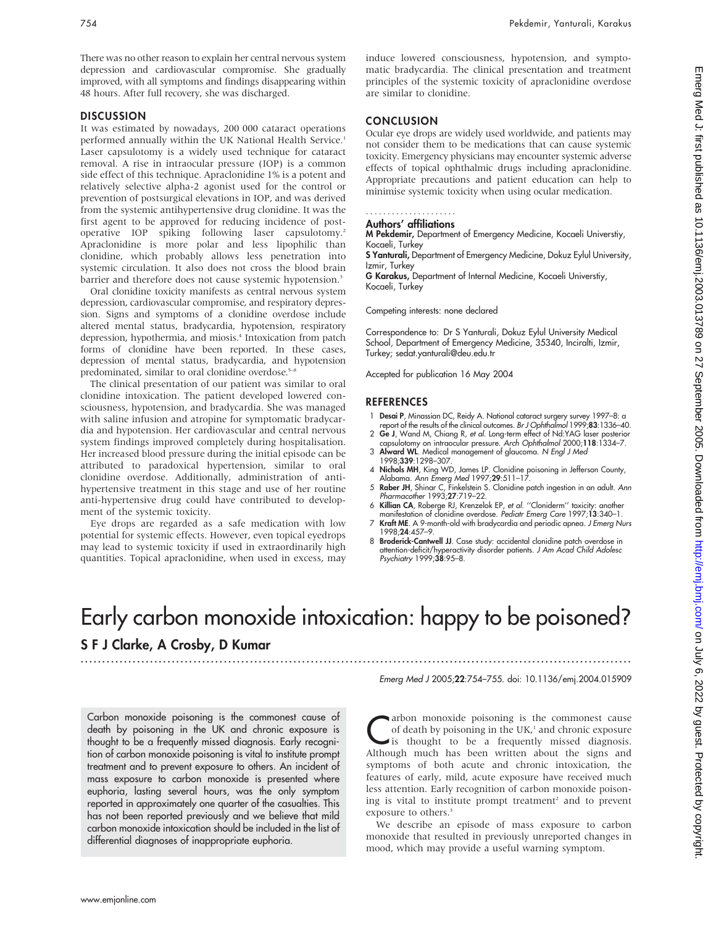There was no other reason to explain her central nervous system depression and cardiovascular compromise. She gradually improved, with all symptoms and findings disappearing within 48 hours. After full recovery, she was discharged.

#### **DISCUSSION**

It was estimated by nowadays, 200 000 cataract operations performed annually within the UK National Health Service.<sup>1</sup> Laser capsulotomy is a widely used technique for cataract removal. A rise in intraocular pressure (IOP) is a common side effect of this technique. Apraclonidine 1% is a potent and relatively selective alpha-2 agonist used for the control or prevention of postsurgical elevations in IOP, and was derived from the systemic antihypertensive drug clonidine. It was the first agent to be approved for reducing incidence of postoperative IOP spiking following laser capsulotomy.<sup>2</sup> Apraclonidine is more polar and less lipophilic than clonidine, which probably allows less penetration into systemic circulation. It also does not cross the blood brain barrier and therefore does not cause systemic hypotension.<sup>3</sup>

Oral clonidine toxicity manifests as central nervous system depression, cardiovascular compromise, and respiratory depression. Signs and symptoms of a clonidine overdose include altered mental status, bradycardia, hypotension, respiratory depression, hypothermia, and miosis.<sup>4</sup> Intoxication from patch forms of clonidine have been reported. In these cases, depression of mental status, bradycardia, and hypotension predominated, similar to oral clonidine overdose.<sup>5-8</sup>

The clinical presentation of our patient was similar to oral clonidine intoxication. The patient developed lowered consciousness, hypotension, and bradycardia. She was managed with saline infusion and atropine for symptomatic bradycardia and hypotension. Her cardiovascular and central nervous system findings improved completely during hospitalisation. Her increased blood pressure during the initial episode can be attributed to paradoxical hypertension, similar to oral clonidine overdose. Additionally, administration of antihypertensive treatment in this stage and use of her routine anti-hypertensive drug could have contributed to development of the systemic toxicity.

Eye drops are regarded as a safe medication with low potential for systemic effects. However, even topical eyedrops may lead to systemic toxicity if used in extraordinarily high quantities. Topical apraclonidine, when used in excess, may induce lowered consciousness, hypotension, and symptomatic bradycardia. The clinical presentation and treatment principles of the systemic toxicity of apraclonidine overdose are similar to clonidine.

#### **CONCLUSION**

Ocular eye drops are widely used worldwide, and patients may not consider them to be medications that can cause systemic toxicity. Emergency physicians may encounter systemic adverse effects of topical ophthalmic drugs including apraclonidine. Appropriate precautions and patient education can help to minimise systemic toxicity when using ocular medication.

#### .....................

Authors' affiliations

M Pekdemir, Department of Emergency Medicine, Kocaeli Universtiy, Kocaeli, Turkey

S Yanturali, Department of Emergency Medicine, Dokuz Eylul University, Izmir, Turkey

G Karakus, Department of Internal Medicine, Kocaeli Universtiy, Kocaeli, Turkey

Competing interests: none declared

Correspondence to: Dr S Yanturali, Dokuz Eylul University Medical School, Department of Emergency Medicine, 35340, Inciralti, Izmir, Turkey; sedat.yanturali@deu.edu.tr

Accepted for publication 16 May 2004

#### REFERENCES

- 1 **Desai P**, Minassian DC, Reidy A. National cataract surgery survey 1997–8: a<br>1999;**83:** report of the results of the clinical outcomes. *Br J Ophthalmol* 1999;**83**:1336–40<br>2 **Ge J**, Wand M, Chiang R, *et al.* Long-term e
- capsulotomy on intraocular pressure. Arch Ophthalmol 2000;118:1334–7.
- 3 Alward WL. Medical management of glaucoma. N Engl J Med 1998;339:1298–307.
- 4 **Nichols MH**, King WD, James LP. Clonidine poisoning in Jefferson County,<br>Alabama. *Ann Emerg Med* 1997;**29**:511–17.<br>5 **Raber JH**, Shinar C, Finkelstein S. Clonidine patch ingestion in an adult. *Ann*
- Pharmacother 1993;27:719–22.
- 6 Killian CA, Roberge RJ, Krenzelok EP, et al. ''Cloniderm'' toxicity: another manifestation of clonidine overdose. Pediatr Emerg Care 1997;13:340–1.
- 7 Kraft ME. A 9-month-old with bradycardia and periodic apnea. J Emerg Nurs 1998;24:457–9.
- 8 Broderick-Cantwell JJ. Case study: accidental clonidine patch overdose in attention-deficit/hyperactivity disorder patients. J Am Acad Child Adolesc Psychiatry 1999;38:95–8.

## Early carbon monoxide intoxication: happy to be poisoned? S F J Clarke, A Crosby, D Kumar ...............................................................................................................................

Carbon monoxide poisoning is the commonest cause of death by poisoning in the UK and chronic exposure is thought to be a frequently missed diagnosis. Early recognition of carbon monoxide poisoning is vital to institute prompt treatment and to prevent exposure to others. An incident of mass exposure to carbon monoxide is presented where euphoria, lasting several hours, was the only symptom reported in approximately one quarter of the casualties. This has not been reported previously and we believe that mild carbon monoxide intoxication should be included in the list of differential diagnoses of inappropriate euphoria.

Emerg Med J 2005;22:754–755. doi: 10.1136/emj.2004.015909

The arbon monoxide poisoning is the commonest cause<br>of death by poisoning in the UK,<sup>1</sup> and chronic exposure<br>is thought to be a frequently missed diagnosis. of death by poisoning in the UK,<sup>1</sup> and chronic exposure is thought to be a frequently missed diagnosis. Although much has been written about the signs and symptoms of both acute and chronic intoxication, the features of early, mild, acute exposure have received much less attention. Early recognition of carbon monoxide poisoning is vital to institute prompt treatment<sup>2</sup> and to prevent exposure to others.<sup>3</sup>

We describe an episode of mass exposure to carbon monoxide that resulted in previously unreported changes in mood, which may provide a useful warning symptom.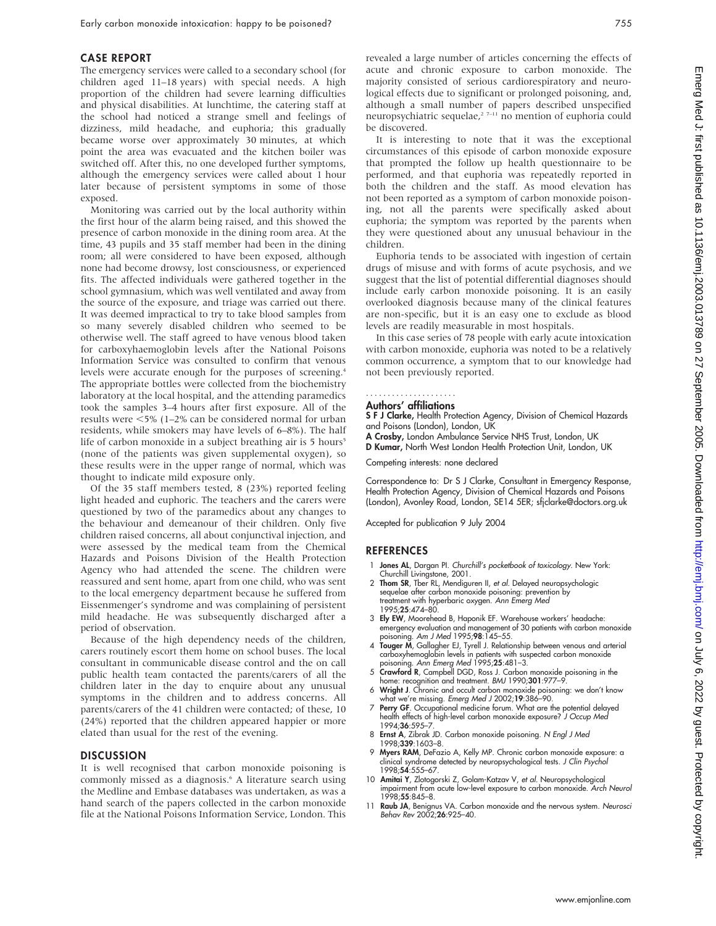#### CASE REPORT

The emergency services were called to a secondary school (for children aged 11–18 years) with special needs. A high proportion of the children had severe learning difficulties and physical disabilities. At lunchtime, the catering staff at the school had noticed a strange smell and feelings of dizziness, mild headache, and euphoria; this gradually became worse over approximately 30 minutes, at which point the area was evacuated and the kitchen boiler was switched off. After this, no one developed further symptoms, although the emergency services were called about 1 hour later because of persistent symptoms in some of those exposed.

Monitoring was carried out by the local authority within the first hour of the alarm being raised, and this showed the presence of carbon monoxide in the dining room area. At the time, 43 pupils and 35 staff member had been in the dining room; all were considered to have been exposed, although none had become drowsy, lost consciousness, or experienced fits. The affected individuals were gathered together in the school gymnasium, which was well ventilated and away from the source of the exposure, and triage was carried out there. It was deemed impractical to try to take blood samples from so many severely disabled children who seemed to be otherwise well. The staff agreed to have venous blood taken for carboxyhaemoglobin levels after the National Poisons Information Service was consulted to confirm that venous levels were accurate enough for the purposes of screening.4 The appropriate bottles were collected from the biochemistry laboratory at the local hospital, and the attending paramedics took the samples 3–4 hours after first exposure. All of the results were  $<5\%$  (1–2% can be considered normal for urban residents, while smokers may have levels of 6–8%). The half life of carbon monoxide in a subject breathing air is 5 hours<sup>5</sup> (none of the patients was given supplemental oxygen), so these results were in the upper range of normal, which was thought to indicate mild exposure only.

Of the 35 staff members tested, 8 (23%) reported feeling light headed and euphoric. The teachers and the carers were questioned by two of the paramedics about any changes to the behaviour and demeanour of their children. Only five children raised concerns, all about conjunctival injection, and were assessed by the medical team from the Chemical Hazards and Poisons Division of the Health Protection Agency who had attended the scene. The children were reassured and sent home, apart from one child, who was sent to the local emergency department because he suffered from Eissenmenger's syndrome and was complaining of persistent mild headache. He was subsequently discharged after a period of observation.

Because of the high dependency needs of the children, carers routinely escort them home on school buses. The local consultant in communicable disease control and the on call public health team contacted the parents/carers of all the children later in the day to enquire about any unusual symptoms in the children and to address concerns. All parents/carers of the 41 children were contacted; of these, 10 (24%) reported that the children appeared happier or more elated than usual for the rest of the evening.

#### **DISCUSSION**

It is well recognised that carbon monoxide poisoning is commonly missed as a diagnosis.6 A literature search using the Medline and Embase databases was undertaken, as was a hand search of the papers collected in the carbon monoxide file at the National Poisons Information Service, London. This

revealed a large number of articles concerning the effects of acute and chronic exposure to carbon monoxide. The majority consisted of serious cardiorespiratory and neurological effects due to significant or prolonged poisoning, and, although a small number of papers described unspecified neuropsychiatric sequelae, $27-11$  no mention of euphoria could be discovered.

It is interesting to note that it was the exceptional circumstances of this episode of carbon monoxide exposure that prompted the follow up health questionnaire to be performed, and that euphoria was repeatedly reported in both the children and the staff. As mood elevation has not been reported as a symptom of carbon monoxide poisoning, not all the parents were specifically asked about euphoria; the symptom was reported by the parents when they were questioned about any unusual behaviour in the children.

Euphoria tends to be associated with ingestion of certain drugs of misuse and with forms of acute psychosis, and we suggest that the list of potential differential diagnoses should include early carbon monoxide poisoning. It is an easily overlooked diagnosis because many of the clinical features are non-specific, but it is an easy one to exclude as blood levels are readily measurable in most hospitals.

In this case series of 78 people with early acute intoxication with carbon monoxide, euphoria was noted to be a relatively common occurrence, a symptom that to our knowledge had not been previously reported.

#### Authors' affiliations .....................

S F J Clarke, Health Protection Agency, Division of Chemical Hazards and Poisons (London), London, UK

A Crosby, London Ambulance Service NHS Trust, London, UK D Kumar, North West London Health Protection Unit, London, UK

Competing interests: none declared

Correspondence to: Dr S J Clarke, Consultant in Emergency Response, Health Protection Agency, Division of Chemical Hazards and Poisons (London), Avonley Road, London, SE14 5ER; sfjclarke@doctors.org.uk

Accepted for publication 9 July 2004

- 1 Jones AL, Dargan PI. Churchill's pocketbook of toxicology. New York: Churchill Livingstone, 2001.
- 2 Thom SR, Tber RL, Mendiguren II, et al. Delayed neuropsychologic sequelae after carbon monoxide poisoning: prevention by treatment with hyperbaric oxygen. Ann Emerg Med 1995;25:474–80.
- 3 Ely EW, Moorehead B, Haponik EF. Warehouse workers' headache: emergency evaluation and management of 30 patients with carbon monoxide
- poisoning. *Am J Med* 1995;**98**:145–55.<br>4 Touger M, Gallagher EJ, Tyrell J. Relationship between venous and arterial carboxyhemoglobin levels in patients with suspected carbon monoxide
- poisoning. A*nn Emerg Med* 1995;**25**:481–3.<br>5 **Crawford R**, Campbell DGD, Ross J. Carbon monoxide poisoning in the home: recognition and treatment. BMJ 1990;301:977-9.
- 6 Wright J. Chronic and occult carbon monoxide poisoning: we don't know what we're missing. Emerg Med J 2002;19:386–90.
- 7 Perry GF. Occupational medicine forum. What are the potential delayed health effects of high-level carbon monoxide exposure? J Occup Med 1994;36:595–7.
- 8 Ernst A, Zibrak JD. Carbon monoxide poisoning. N Engl J Med 1998;339:1603–8.
- 9 Myers RAM, DeFazio A, Kelly MP. Chronic carbon monoxide exposure: a nical syndrome detected by neuropsychological tests. J Clin Psychol 1998;54:555–67.
- 10 Amitai Y, Zlotogorski Z, Golam-Katzav V, et al. Neuropsychological impairment from acute low-level exposure to carbon monoxide. Arch Neurol 1998;55:845–8.
- 11 Raub JA, Benignus VA. Carbon monoxide and the nervous system. Neurosci Behav Rev 2002;26:925-40.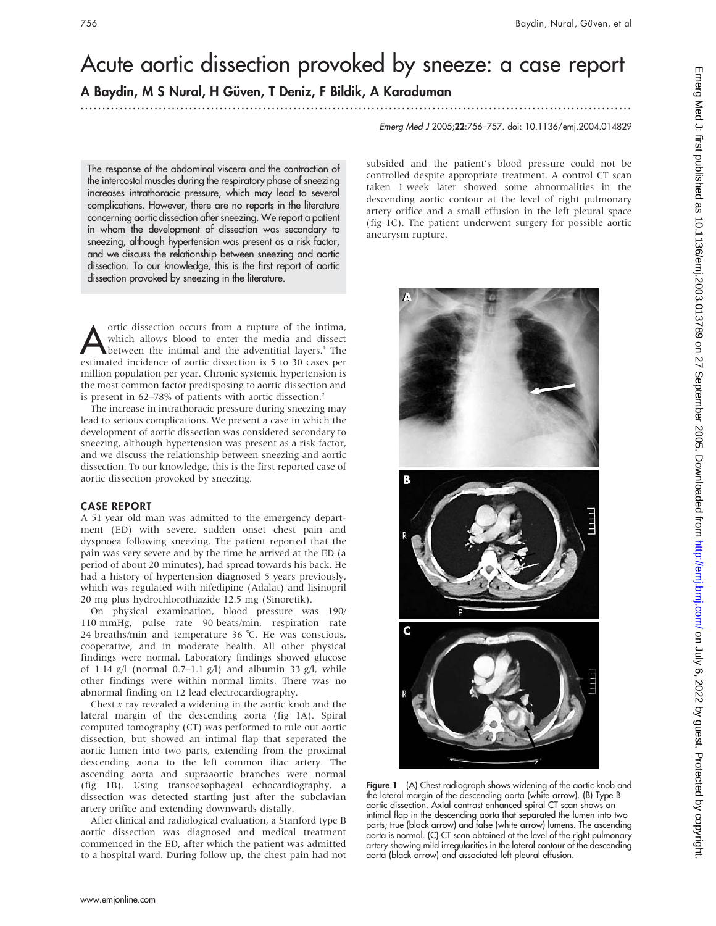## Acute aortic dissection provoked by sneeze: a case report A Baydin, M S Nural, H Güven, T Deniz, F Bildik, A Karaduman

...............................................................................................................................

The response of the abdominal viscera and the contraction of the intercostal muscles during the respiratory phase of sneezing increases intrathoracic pressure, which may lead to several complications. However, there are no reports in the literature concerning aortic dissection after sneezing. We report a patient in whom the development of dissection was secondary to sneezing, although hypertension was present as a risk factor, and we discuss the relationship between sneezing and aortic dissection. To our knowledge, this is the first report of aortic dissection provoked by sneezing in the literature.

A ortic dissection occurs from a rupture of the intima,<br>which allows blood to enter the media and dissect<br>between the intimal and the adventitial layers.<sup>1</sup> The<br>estimated incidence of agric dissection is 5 to 30 cases per which allows blood to enter the media and dissect between the intimal and the adventitial layers.<sup>1</sup> The estimated incidence of aortic dissection is 5 to 30 cases per million population per year. Chronic systemic hypertension is the most common factor predisposing to aortic dissection and is present in 62-78% of patients with aortic dissection.<sup>2</sup>

The increase in intrathoracic pressure during sneezing may lead to serious complications. We present a case in which the development of aortic dissection was considered secondary to sneezing, although hypertension was present as a risk factor, and we discuss the relationship between sneezing and aortic dissection. To our knowledge, this is the first reported case of aortic dissection provoked by sneezing.

#### CASE REPORT

A 51 year old man was admitted to the emergency department (ED) with severe, sudden onset chest pain and dyspnoea following sneezing. The patient reported that the pain was very severe and by the time he arrived at the ED (a period of about 20 minutes), had spread towards his back. He had a history of hypertension diagnosed 5 years previously, which was regulated with nifedipine (Adalat) and lisinopril 20 mg plus hydrochlorothiazide 12.5 mg (Sinoretik).

On physical examination, blood pressure was 190/ 110 mmHg, pulse rate 90 beats/min, respiration rate 24 breaths/min and temperature 36 ˚C. He was conscious, cooperative, and in moderate health. All other physical findings were normal. Laboratory findings showed glucose of 1.14  $g/l$  (normal 0.7–1.1  $g/l$ ) and albumin 33  $g/l$ , while other findings were within normal limits. There was no abnormal finding on 12 lead electrocardiography.

Chest  $x$  ray revealed a widening in the aortic knob and the lateral margin of the descending aorta (fig 1A). Spiral computed tomography (CT) was performed to rule out aortic dissection, but showed an intimal flap that seperated the aortic lumen into two parts, extending from the proximal descending aorta to the left common iliac artery. The ascending aorta and supraaortic branches were normal (fig 1B). Using transoesophageal echocardiography, a dissection was detected starting just after the subclavian artery orifice and extending downwards distally.

After clinical and radiological evaluation, a Stanford type B aortic dissection was diagnosed and medical treatment commenced in the ED, after which the patient was admitted to a hospital ward. During follow up, the chest pain had not Emerg Med J 2005;22:756–757. doi: 10.1136/emj.2004.014829

subsided and the patient's blood pressure could not be controlled despite appropriate treatment. A control CT scan taken 1 week later showed some abnormalities in the descending aortic contour at the level of right pulmonary artery orifice and a small effusion in the left pleural space (fig 1C). The patient underwent surgery for possible aortic aneurysm rupture.



C